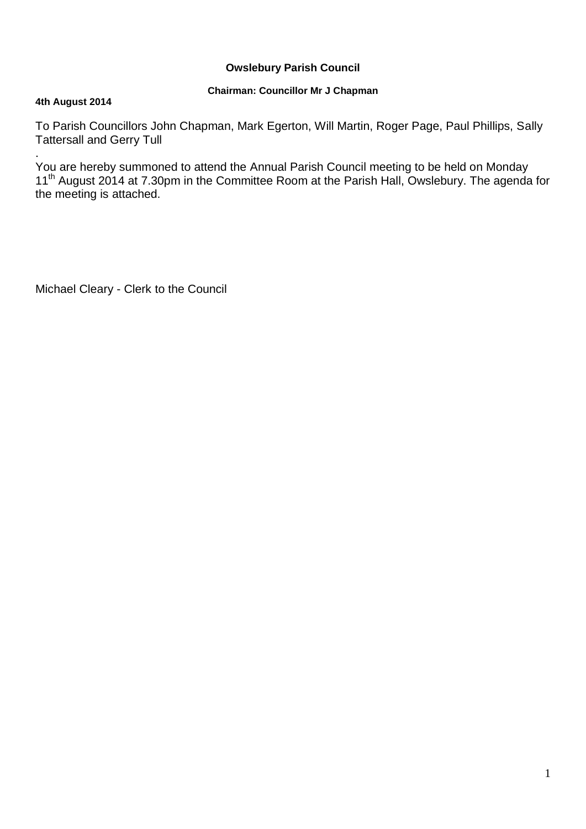# **Owslebury Parish Council**

# **Chairman: Councillor Mr J Chapman**

## **4th August 2014**

To Parish Councillors John Chapman, Mark Egerton, Will Martin, Roger Page, Paul Phillips, Sally Tattersall and Gerry Tull

. You are hereby summoned to attend the Annual Parish Council meeting to be held on Monday 11<sup>th</sup> August 2014 at 7.30pm in the Committee Room at the Parish Hall, Owslebury. The agenda for the meeting is attached.

Michael Cleary - Clerk to the Council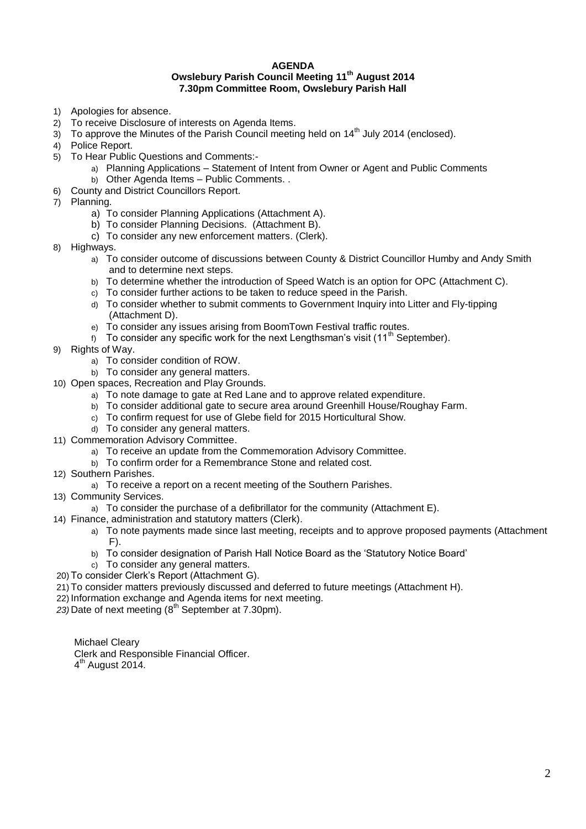### **AGENDA Owslebury Parish Council Meeting 11th August 2014 7.30pm Committee Room, Owslebury Parish Hall**

- 1) Apologies for absence.
- 2) To receive Disclosure of interests on Agenda Items.
- $3)$  To approve the Minutes of the Parish Council meeting held on 14<sup>th</sup> July 2014 (enclosed).
- 4) Police Report.
- 5) To Hear Public Questions and Comments:
	- a) Planning Applications Statement of Intent from Owner or Agent and Public Comments
		- b) Other Agenda Items Public Comments. .
- 6) County and District Councillors Report.
- 7) Planning.
	- a) To consider Planning Applications (Attachment A).
	- b) To consider Planning Decisions. (Attachment B).
	- c) To consider any new enforcement matters. (Clerk).
- 8) Highways.
	- a) To consider outcome of discussions between County & District Councillor Humby and Andy Smith and to determine next steps.
	- b) To determine whether the introduction of Speed Watch is an option for OPC (Attachment C).
	- c) To consider further actions to be taken to reduce speed in the Parish.
	- d) To consider whether to submit comments to Government Inquiry into Litter and Fly-tipping (Attachment D).
	- e) To consider any issues arising from BoomTown Festival traffic routes.
	- f) To consider any specific work for the next Lengthsman's visit (11<sup>th</sup> September).
- 9) Rights of Way.
	- a) To consider condition of ROW.
	- b) To consider any general matters.
- 10) Open spaces, Recreation and Play Grounds.
	- a) To note damage to gate at Red Lane and to approve related expenditure.
	- b) To consider additional gate to secure area around Greenhill House/Roughay Farm.
	- c) To confirm request for use of Glebe field for 2015 Horticultural Show.
	- d) To consider any general matters.
- 11) Commemoration Advisory Committee.
	- a) To receive an update from the Commemoration Advisory Committee.
	- b) To confirm order for a Remembrance Stone and related cost.
- 12) Southern Parishes.
	- a) To receive a report on a recent meeting of the Southern Parishes.
- 13) Community Services.
	- a) To consider the purchase of a defibrillator for the community (Attachment E).
- 14) Finance, administration and statutory matters (Clerk).
	- a) To note payments made since last meeting, receipts and to approve proposed payments (Attachment  $F$ ).
	- b) To consider designation of Parish Hall Notice Board as the 'Statutory Notice Board'
	- c) To consider any general matters.
- 20) To consider Clerk's Report (Attachment G).
- 21) To consider matters previously discussed and deferred to future meetings (Attachment H).
- 22) Information exchange and Agenda items for next meeting.
- *23)* Date of next meeting (8 th September at 7.30pm).

Michael Cleary

Clerk and Responsible Financial Officer.

4<sup>th</sup> August 2014.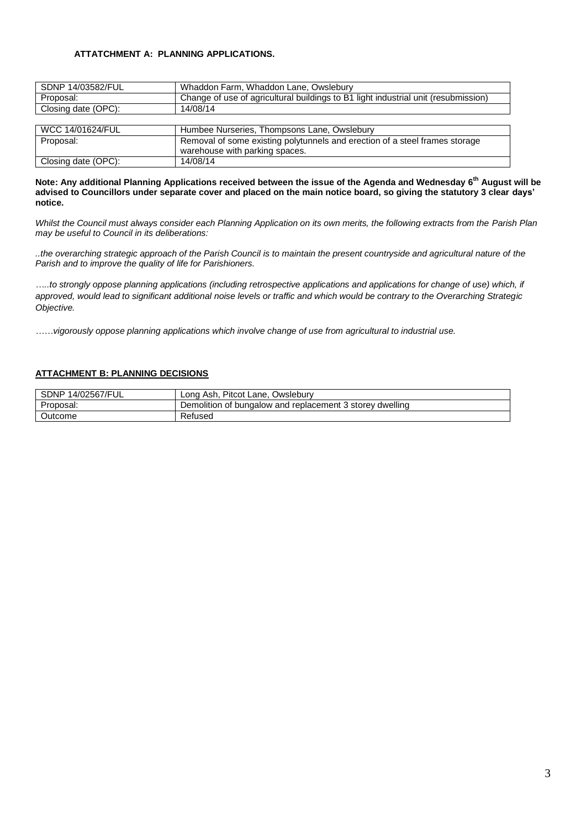### **ATTATCHMENT A: PLANNING APPLICATIONS.**

| SDNP 14/03582/FUL               | Whaddon Farm, Whaddon Lane, Owslebury                                              |  |
|---------------------------------|------------------------------------------------------------------------------------|--|
| Proposal:                       | Change of use of agricultural buildings to B1 light industrial unit (resubmission) |  |
| Closing date (OPC):<br>14/08/14 |                                                                                    |  |
|                                 |                                                                                    |  |
| WCC 14/01624/FUL                | Humbee Nurseries, Thompsons Lane, Owslebury                                        |  |
| Proposal:                       | Removal of some existing polytunnels and erection of a steel frames storage        |  |
|                                 | warehouse with parking spaces.                                                     |  |
| Closing date (OPC):             | 14/08/14                                                                           |  |

**Note: Any additional Planning Applications received between the issue of the Agenda and Wednesday 6th August will be advised to Councillors under separate cover and placed on the main notice board, so giving the statutory 3 clear days' notice.** 

*Whilst the Council must always consider each Planning Application on its own merits, the following extracts from the Parish Plan may be useful to Council in its deliberations:*

*..the overarching strategic approach of the Parish Council is to maintain the present countryside and agricultural nature of the Parish and to improve the quality of life for Parishioners.*

*…..to strongly oppose planning applications (including retrospective applications and applications for change of use) which, if approved, would lead to significant additional noise levels or traffic and which would be contrary to the Overarching Strategic Objective.*

*……vigorously oppose planning applications which involve change of use from agricultural to industrial use.*

### **ATTACHMENT B: PLANNING DECISIONS**

| SDNP<br>14/02567/FUL | Pitcot Lane, Owslebury<br>≚Ash.<br>Lona                  |
|----------------------|----------------------------------------------------------|
| Proposal.            | Demolition of bungalow and replacement 3 storey dwelling |
| Outcome              | Refused                                                  |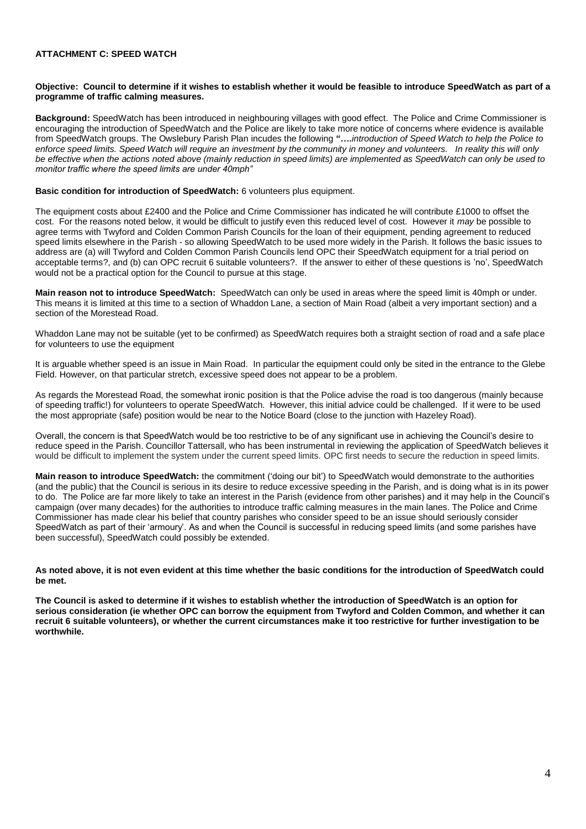### **ATTACHMENT C: SPEED WATCH**

#### **Objective: Council to determine if it wishes to establish whether it would be feasible to introduce SpeedWatch as part of a programme of traffic calming measures.**

**Background:** SpeedWatch has been introduced in neighbouring villages with good effect. The Police and Crime Commissioner is encouraging the introduction of SpeedWatch and the Police are likely to take more notice of concerns where evidence is available from SpeedWatch groups. The Owslebury Parish Plan incudes the following **"….***introduction of Speed Watch to help the Police to*  enforce speed limits. Speed Watch will require an investment by the community in money and volunteers. In reality this will only *be effective when the actions noted above (mainly reduction in speed limits) are implemented as SpeedWatch can only be used to monitor traffic where the speed limits are under 40mph"*

### **Basic condition for introduction of SpeedWatch:** 6 volunteers plus equipment.

The equipment costs about £2400 and the Police and Crime Commissioner has indicated he will contribute £1000 to offset the cost. For the reasons noted below, it would be difficult to justify even this reduced level of cost. However it *may* be possible to agree terms with Twyford and Colden Common Parish Councils for the loan of their equipment, pending agreement to reduced speed limits elsewhere in the Parish - so allowing SpeedWatch to be used more widely in the Parish. It follows the basic issues to address are (a) will Twyford and Colden Common Parish Councils lend OPC their SpeedWatch equipment for a trial period on acceptable terms?, and (b) can OPC recruit 6 suitable volunteers?. If the answer to either of these questions is 'no', SpeedWatch would not be a practical option for the Council to pursue at this stage.

**Main reason not to introduce SpeedWatch:** SpeedWatch can only be used in areas where the speed limit is 40mph or under. This means it is limited at this time to a section of Whaddon Lane, a section of Main Road (albeit a very important section) and a section of the Morestead Road.

Whaddon Lane may not be suitable (yet to be confirmed) as SpeedWatch requires both a straight section of road and a safe place for volunteers to use the equipment

It is arguable whether speed is an issue in Main Road. In particular the equipment could only be sited in the entrance to the Glebe Field. However, on that particular stretch, excessive speed does not appear to be a problem.

As regards the Morestead Road, the somewhat ironic position is that the Police advise the road is too dangerous (mainly because of speeding traffic!) for volunteers to operate SpeedWatch. However, this initial advice could be challenged. If it were to be used the most appropriate (safe) position would be near to the Notice Board (close to the junction with Hazeley Road).

Overall, the concern is that SpeedWatch would be too restrictive to be of any significant use in achieving the Council's desire to reduce speed in the Parish. Councillor Tattersall, who has been instrumental in reviewing the application of SpeedWatch believes it would be difficult to implement the system under the current speed limits. OPC first needs to secure the reduction in speed limits.

**Main reason to introduce SpeedWatch:** the commitment ('doing our bit') to SpeedWatch would demonstrate to the authorities (and the public) that the Council is serious in its desire to reduce excessive speeding in the Parish, and is doing what is in its power to do. The Police are far more likely to take an interest in the Parish (evidence from other parishes) and it may help in the Council's campaign (over many decades) for the authorities to introduce traffic calming measures in the main lanes. The Police and Crime Commissioner has made clear his belief that country parishes who consider speed to be an issue should seriously consider SpeedWatch as part of their 'armoury'. As and when the Council is successful in reducing speed limits (and some parishes have been successful), SpeedWatch could possibly be extended.

**As noted above, it is not even evident at this time whether the basic conditions for the introduction of SpeedWatch could be met.** 

**The Council is asked to determine if it wishes to establish whether the introduction of SpeedWatch is an option for serious consideration (ie whether OPC can borrow the equipment from Twyford and Colden Common, and whether it can recruit 6 suitable volunteers), or whether the current circumstances make it too restrictive for further investigation to be worthwhile.**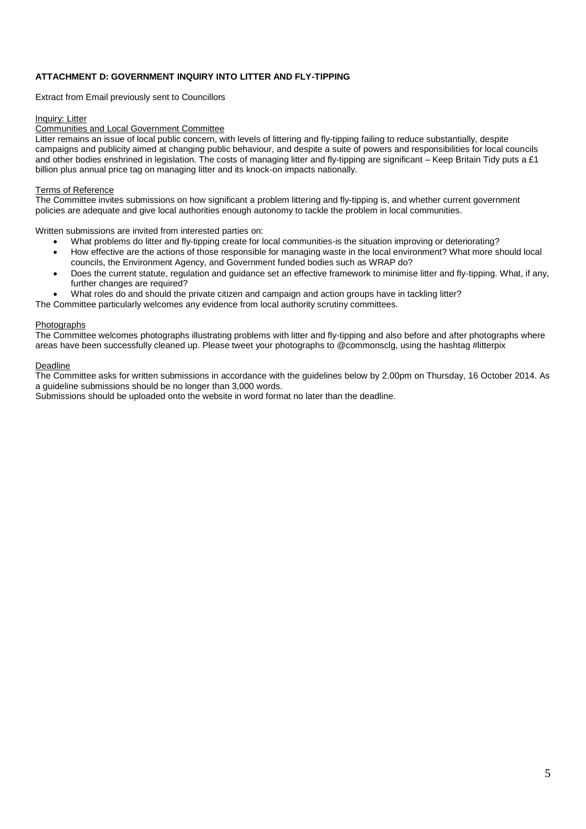## **ATTACHMENT D: GOVERNMENT INQUIRY INTO LITTER AND FLY-TIPPING**

Extract from Email previously sent to Councillors

#### Inquiry: Litter

#### Communities and Local Government Committee

Litter remains an issue of local public concern, with levels of littering and fly-tipping failing to reduce substantially, despite campaigns and publicity aimed at changing public behaviour, and despite a suite of powers and responsibilities for local councils and other bodies enshrined in legislation. The costs of managing litter and fly-tipping are significant – Keep Britain Tidy puts a £1 billion plus annual price tag on managing litter and its knock-on impacts nationally.

#### Terms of Reference

The Committee invites submissions on how significant a problem littering and fly-tipping is, and whether current government policies are adequate and give local authorities enough autonomy to tackle the problem in local communities.

Written submissions are invited from interested parties on:

- What problems do litter and fly-tipping create for local communities-is the situation improving or deteriorating?
- How effective are the actions of those responsible for managing waste in the local environment? What more should local councils, the Environment Agency, and Government funded bodies such as WRAP do?
- Does the current statute, regulation and guidance set an effective framework to minimise litter and fly-tipping. What, if any, further changes are required?
- What roles do and should the private citizen and campaign and action groups have in tackling litter?

The Committee particularly welcomes any evidence from local authority scrutiny committees.

#### Photographs

The Committee welcomes photographs illustrating problems with litter and fly-tipping and also before and after photographs where areas have been successfully cleaned up. Please tweet your photographs to @commonsclg, using the hashtag #litterpix

### **Deadline**

The Committee asks for written submissions in accordance with the guidelines below by 2.00pm on Thursday, 16 October 2014. As a guideline submissions should be no longer than 3,000 words.

Submissions should be uploaded onto the website in word format no later than the deadline.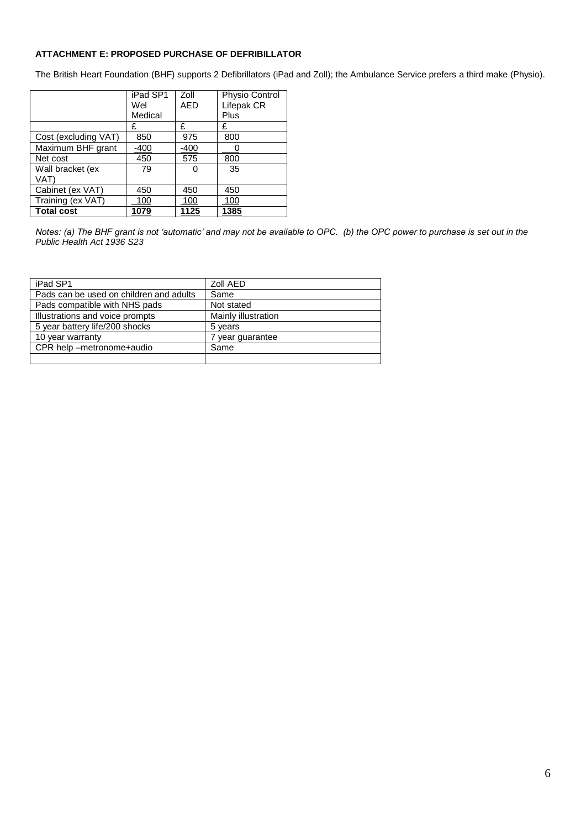### **ATTACHMENT E: PROPOSED PURCHASE OF DEFRIBILLATOR**

The British Heart Foundation (BHF) supports 2 Defibrillators (iPad and Zoll); the Ambulance Service prefers a third make (Physio).

|                      | iPad SP1 | Zoll       | Physio Control |
|----------------------|----------|------------|----------------|
|                      | Wel      | <b>AED</b> | Lifepak CR     |
|                      | Medical  |            | Plus           |
|                      | £        | £          | £              |
| Cost (excluding VAT) | 850      | 975        | 800            |
| Maximum BHF grant    | -400     | $-400$     |                |
| Net cost             | 450      | 575        | 800            |
| Wall bracket (ex     | 79       | Ω          | 35             |
| VAT)                 |          |            |                |
| Cabinet (ex VAT)     | 450      | 450        | 450            |
| Training (ex VAT)    | 100      | 100        | 100            |
| <b>Total cost</b>    | 1079     | 1125       | 1385           |

*Notes: (a) The BHF grant is not 'automatic' and may not be available to OPC. (b) the OPC power to purchase is set out in the Public Health Act 1936 S23*

| iPad SP1                                | Zoll AED            |
|-----------------------------------------|---------------------|
| Pads can be used on children and adults | Same                |
| Pads compatible with NHS pads           | Not stated          |
| Illustrations and voice prompts         | Mainly illustration |
| 5 year battery life/200 shocks          | 5 years             |
| 10 year warranty                        | 7 year guarantee    |
| CPR help -metronome+audio               | Same                |
|                                         |                     |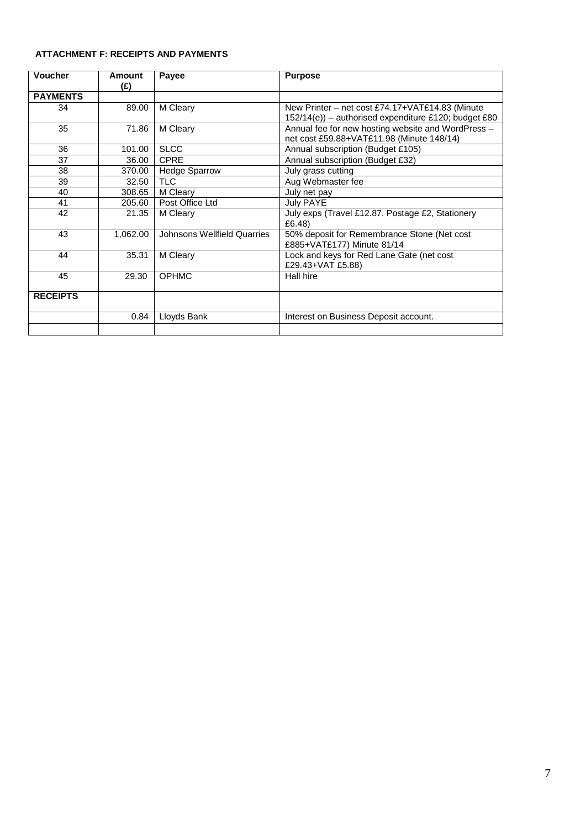# **ATTACHMENT F: RECEIPTS AND PAYMENTS**

| <b>Voucher</b>                                                              | Amount<br>(£) | Payee                                       | <b>Purpose</b>                                                                                          |
|-----------------------------------------------------------------------------|---------------|---------------------------------------------|---------------------------------------------------------------------------------------------------------|
| <b>PAYMENTS</b>                                                             |               |                                             |                                                                                                         |
| 34                                                                          | 89.00         | M Cleary                                    | New Printer – net cost £74.17+VAT£14.83 (Minute<br>152/14(e)) - authorised expenditure £120; budget £80 |
| 35                                                                          | 71.86         | M Cleary                                    | Annual fee for new hosting website and WordPress -<br>net cost £59.88+VAT£11.98 (Minute 148/14)         |
| 36                                                                          | 101.00        | <b>SLCC</b>                                 | Annual subscription (Budget £105)                                                                       |
| 37                                                                          | 36.00         | <b>CPRE</b>                                 | Annual subscription (Budget £32)                                                                        |
| 38                                                                          | 370.00        | <b>Hedge Sparrow</b>                        | July grass cutting                                                                                      |
| 39                                                                          | 32.50         | <b>TLC</b>                                  | Aug Webmaster fee                                                                                       |
| 40                                                                          | 308.65        | M Cleary                                    | July net pay                                                                                            |
| 41                                                                          | 205.60        | Post Office Ltd                             | <b>July PAYE</b>                                                                                        |
| 42                                                                          | 21.35         | M Cleary                                    | July exps (Travel £12.87. Postage £2, Stationery<br>£6.48)                                              |
| 43<br>1,062.00<br>Johnsons Wellfield Quarries<br>£885+VAT£177) Minute 81/14 |               | 50% deposit for Remembrance Stone (Net cost |                                                                                                         |
| Lock and keys for Red Lane Gate (net cost<br>44<br>35.31<br>M Cleary        |               | £29.43+VAT £5.88)                           |                                                                                                         |
| 45                                                                          | 29.30         | <b>OPHMC</b>                                | Hall hire                                                                                               |
| <b>RECEIPTS</b>                                                             |               |                                             |                                                                                                         |
|                                                                             | 0.84          | Lloyds Bank                                 | Interest on Business Deposit account.                                                                   |
|                                                                             |               |                                             |                                                                                                         |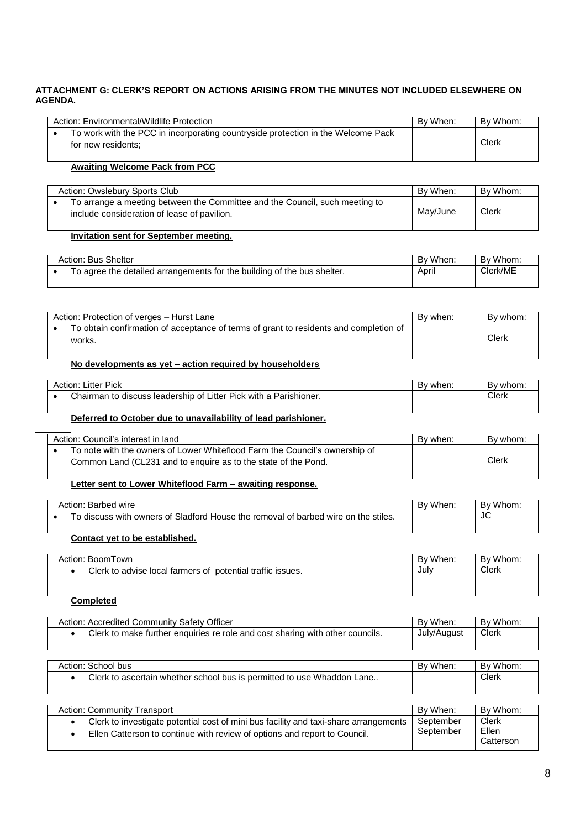## **ATTACHMENT G: CLERK'S REPORT ON ACTIONS ARISING FROM THE MINUTES NOT INCLUDED ELSEWHERE ON AGENDA.**

| Action: Environmental/Wildlife Protection                                                              | By When: | By Whom: |
|--------------------------------------------------------------------------------------------------------|----------|----------|
| To work with the PCC in incorporating countryside protection in the Welcome Pack<br>for new residents: |          | Clerk    |

## **Awaiting Welcome Pack from PCC**

| Action: Owslebury Sports Club                                                                                              | By When: | By Whom: |
|----------------------------------------------------------------------------------------------------------------------------|----------|----------|
| To arrange a meeting between the Committee and the Council, such meeting to<br>include consideration of lease of pavilion. | May/June | Clerk    |

## **Invitation sent for September meeting.**

| Action: Bus Shelter |                                                                         | By When: | By Whom. |
|---------------------|-------------------------------------------------------------------------|----------|----------|
|                     | To agree the detailed arrangements for the building of the bus shelter. | April    | Clerk/ME |

| Action: Protection of verges - Hurst Lane                                                       | By when: | By whom: |
|-------------------------------------------------------------------------------------------------|----------|----------|
| To obtain confirmation of acceptance of terms of grant to residents and completion of<br>works. |          | Clerk    |

# **No developments as yet – action required by householders**

| Action: Litter Pick |                                                                   | By when: | By whom: |
|---------------------|-------------------------------------------------------------------|----------|----------|
|                     | Chairman to discuss leadership of Litter Pick with a Parishioner. |          | Clerk    |

# **Deferred to October due to unavailability of lead parishioner.**

| Action: Council's interest in land                                                                                                            | By when: | By whom: |
|-----------------------------------------------------------------------------------------------------------------------------------------------|----------|----------|
| To note with the owners of Lower Whiteflood Farm the Council's ownership of<br>Common Land (CL231 and to enguire as to the state of the Pond. |          | Clerk    |

## **Letter sent to Lower Whiteflood Farm – awaiting response.**

| Action: Barbed wire                                                                | By When: | By Whom: |
|------------------------------------------------------------------------------------|----------|----------|
| To discuss with owners of Sladford House the removal of barbed wire on the stiles. |          | JC       |

# **Contact yet to be established.**

| Action: BoomTown                                           | By When: | By Whom: |
|------------------------------------------------------------|----------|----------|
| Clerk to advise local farmers of potential traffic issues. | July     | Clerk    |

### **Completed**

| Action: Accredited Community Safety Officer                                                                                                                                                 | By When:               | By Whom:                           |
|---------------------------------------------------------------------------------------------------------------------------------------------------------------------------------------------|------------------------|------------------------------------|
| Clerk to make further enquiries re role and cost sharing with other councils.<br>$\bullet$                                                                                                  | July/August            | <b>Clerk</b>                       |
|                                                                                                                                                                                             |                        |                                    |
| Action: School bus                                                                                                                                                                          | By When:               | By Whom:                           |
| Clerk to ascertain whether school bus is permitted to use Whaddon Lane<br>$\bullet$                                                                                                         |                        | <b>Clerk</b>                       |
|                                                                                                                                                                                             |                        |                                    |
| <b>Action: Community Transport</b>                                                                                                                                                          | By When:               | By Whom:                           |
| Clerk to investigate potential cost of mini bus facility and taxi-share arrangements<br>$\bullet$<br>Ellen Catterson to continue with review of options and report to Council.<br>$\bullet$ | September<br>September | <b>Clerk</b><br>Ellen<br>Catterson |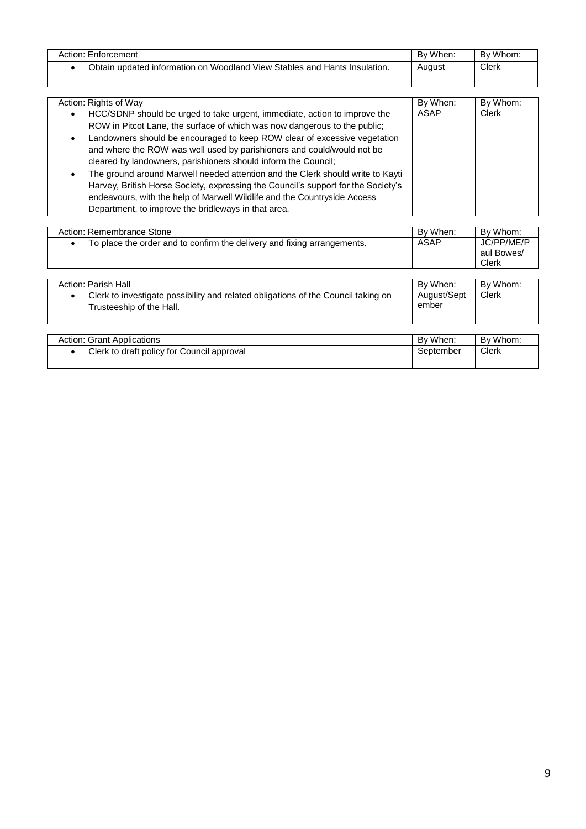| Action: Enforcement                                                       | By When: | By Whom:     |
|---------------------------------------------------------------------------|----------|--------------|
| Obtain updated information on Woodland View Stables and Hants Insulation. | August   | <b>Clerk</b> |

| Action: Rights of Way                                                                       | By When: | By Whom: |
|---------------------------------------------------------------------------------------------|----------|----------|
| HCC/SDNP should be urged to take urgent, immediate, action to improve the                   | ASAP     | Clerk    |
| ROW in Pitcot Lane, the surface of which was now dangerous to the public;                   |          |          |
| Landowners should be encouraged to keep ROW clear of excessive vegetation<br>$\bullet$      |          |          |
| and where the ROW was well used by parishioners and could/would not be                      |          |          |
| cleared by landowners, parishioners should inform the Council;                              |          |          |
| The ground around Marwell needed attention and the Clerk should write to Kayti<br>$\bullet$ |          |          |
| Harvey, British Horse Society, expressing the Council's support for the Society's           |          |          |
| endeavours, with the help of Marwell Wildlife and the Countryside Access                    |          |          |
| Department, to improve the bridleways in that area.                                         |          |          |

| Action: Remembrance Stone                                               | By When: | By Whom:                          |
|-------------------------------------------------------------------------|----------|-----------------------------------|
| To place the order and to confirm the delivery and fixing arrangements. | ASAP     | JC/PP/ME/P<br>aul Bowes/<br>Clerk |
|                                                                         |          |                                   |

| Action: Parish Hall                                                                                           | By When:             | By Whom: |
|---------------------------------------------------------------------------------------------------------------|----------------------|----------|
| Clerk to investigate possibility and related obligations of the Council taking on<br>Trusteeship of the Hall. | August/Sept<br>ember | Clerk    |

| <b>Action: Grant Applications</b>          | By When:  | By Whom: |
|--------------------------------------------|-----------|----------|
| Clerk to draft policy for Council approval | September | Clerk    |